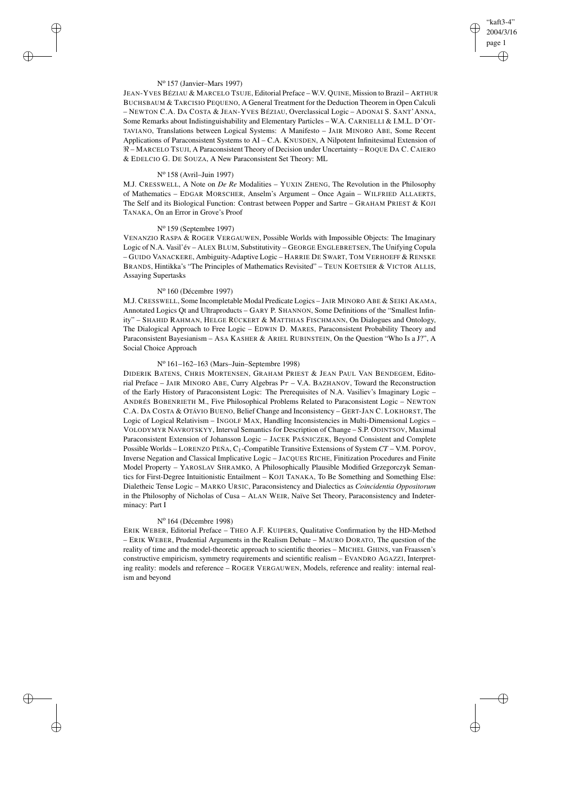# "kaft3-4" 2004/3/16 page 1 ✐ ✐

✐

✐

#### N<sup>o</sup> 157 (Janvier–Mars 1997)

 $\rightarrow$ 

 $\rightarrow$ 

✐

✐

JEAN-YVES BÉZIAU & MARCELO TSUJE, Editorial Preface – W.V. QUINE, Mission to Brazil – ARTHUR BUCHSBAUM & TARCISIO PEQUENO, A General Treatment for the Deduction Theorem in Open Calculi – NEWTON C.A. DA COSTA & JEAN-YVES BÉZIAU, Overclassical Logic – ADONAI S. SANT'ANNA, Some Remarks about Indistinguishability and Elementary Particles – W.A. CARNIELLI & I.M.L. D'OT-TAVIANO, Translations between Logical Systems: A Manifesto – JAIR MINORO ABE, Some Recent Applications of Paraconsistent Systems to AI – C.A. KNUSDEN, A Nilpotent Infinitesimal Extension of < – MARCELO TSUJI, A Paraconsistent Theory of Decision under Uncertainty – ROQUE D<sup>A</sup> C. CAIERO & EDELCIO G. DE SOUZA, A New Paraconsistent Set Theory: ML

### N<sup>o</sup> 158 (Avril–Juin 1997)

M.J. CRESSWELL, A Note on *De Re* Modalities – YUXIN ZHENG, The Revolution in the Philosophy of Mathematics – EDGAR MORSCHER, Anselm's Argument – Once Again – WILFRIED ALLAERTS, The Self and its Biological Function: Contrast between Popper and Sartre – GRAHAM PRIEST & KOJI TANAKA, On an Error in Grove's Proof

### N<sup>o</sup> 159 (Septembre 1997)

VENANZIO RASPA & ROGER VERGAUWEN, Possible Worlds with Impossible Objects: The Imaginary Logic of N.A. Vasil'év – ALEX BLUM, Substitutivity – GEORGE ENGLEBRETSEN, The Unifying Copula – GUIDO VANACKERE, Ambiguity-Adaptive Logic – HARRIE DE SWART, TOM VERHOEFF & RENSKE BRANDS, Hintikka's "The Principles of Mathematics Revisited" – TEUN KOETSIER & VICTOR ALLIS, Assaying Supertasks

#### N<sup>o</sup> 160 (Décembre 1997)

M.J. CRESSWELL, Some Incompletable Modal Predicate Logics – JAIR MINORO ABE & SEIKI AKAMA, Annotated Logics Qt and Ultraproducts – GARY P. SHANNON, Some Definitions of the "Smallest Infinity" – SHAHID RAHMAN, HELGE RÜCKERT & MATTHIAS FISCHMANN, On Dialogues and Ontology, The Dialogical Approach to Free Logic – EDWIN D. MARES, Paraconsistent Probability Theory and Paraconsistent Bayesianism – ASA KASHER & ARIEL RUBINSTEIN, On the Question "Who Is a J?", A Social Choice Approach

#### N<sup>o</sup> 161–162–163 (Mars–Juin–Septembre 1998)

DIDERIK BATENS, CHRIS MORTENSEN, GRAHAM PRIEST & JEAN PAUL VAN BENDEGEM, Editorial Preface – JAIR MINORO ABE, Curry Algebras  $P\tau$  – V.A. BAZHANOV, Toward the Reconstruction of the Early History of Paraconsistent Logic: The Prerequisites of N.A. Vasiliev's Imaginary Logic – ANDRÉS BOBENRIETH M., Five Philosophical Problems Related to Paraconsistent Logic – NEWTON C.A. DA COSTA & OTÁVIO BUENO, Belief Change and Inconsistency – GERT-JAN C. LOKHORST, The Logic of Logical Relativism – INGOLF MAX, Handling Inconsistencies in Multi-Dimensional Logics – VOLODYMYR NAVROTSKYY, Interval Semantics for Description of Change – S.P. ODINTSOV, Maximal Paraconsistent Extension of Johansson Logic - JACEK PAŚNICZEK, Beyond Consistent and Complete Possible Worlds – LORENZO PEÑA, C1-Compatible Transitive Extensions of System *CT* – V.M. POPOV, Inverse Negation and Classical Implicative Logic – JACQUES RICHE, Finitization Procedures and Finite Model Property – YAROSLAV SHRAMKO, A Philosophically Plausible Modified Grzegorczyk Semantics for First-Degree Intuitionistic Entailment – KOJI TANAKA, To Be Something and Something Else: Dialetheic Tense Logic – MARKO URSIC, Paraconsistency and Dialectics as *Coincidentia Oppositorum* in the Philosophy of Nicholas of Cusa – ALAN WEIR, Naïve Set Theory, Paraconsistency and Indeterminacy: Part I

## N<sup>o</sup> 164 (Décembre 1998)

ERIK WEBER, Editorial Preface – THEO A.F. KUIPERS, Qualitative Confirmation by the HD-Method – ERIK WEBER, Prudential Arguments in the Realism Debate – MAURO DORATO, The question of the reality of time and the model-theoretic approach to scientific theories – MICHEL GHINS, van Fraassen's constructive empiricism, symmetry requirements and scientific realism – EVANDRO AGAZZI, Interpreting reality: models and reference – ROGER VERGAUWEN, Models, reference and reality: internal realism and beyond